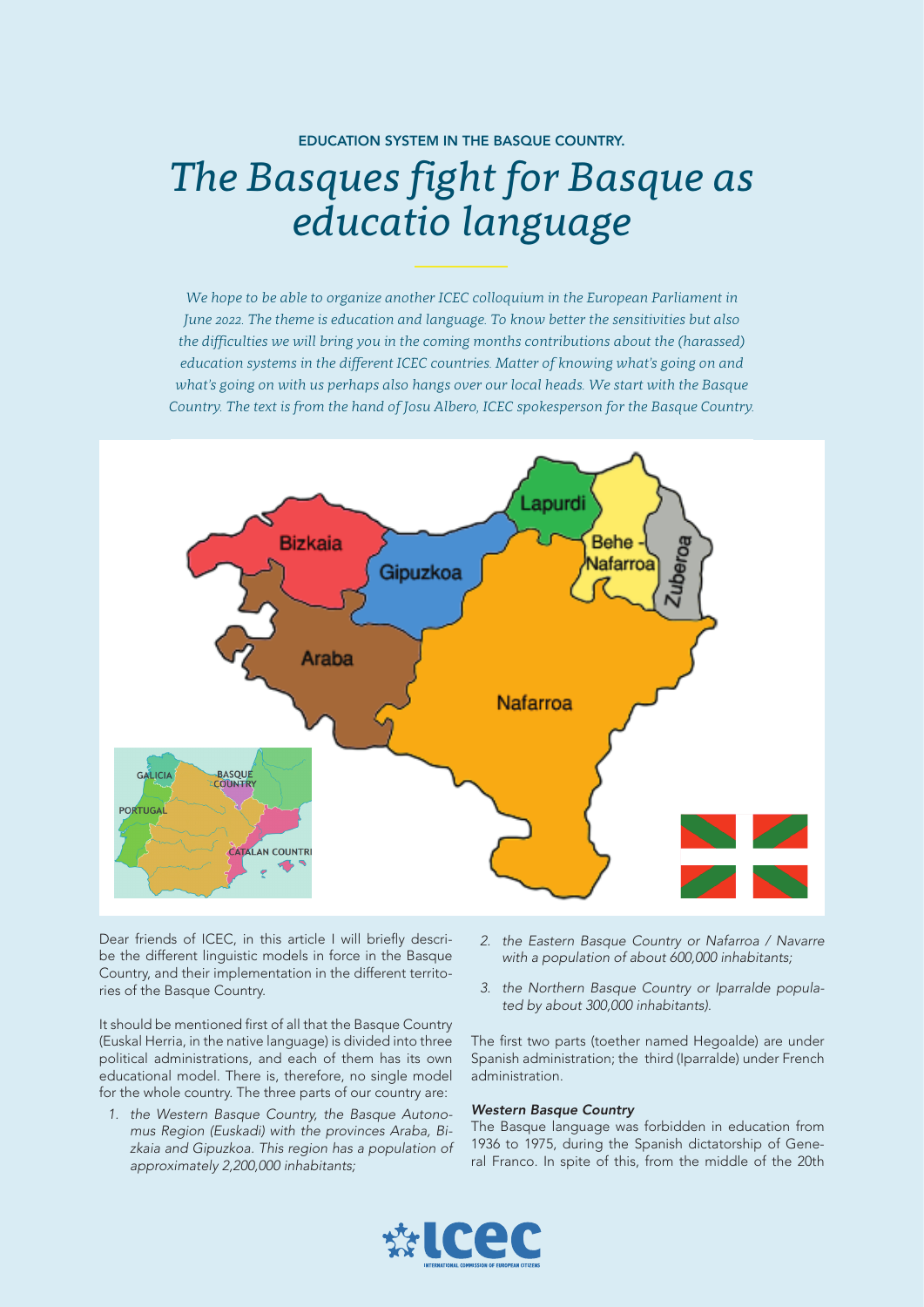## EDUCATION SYSTEM IN THE BASQUE COUNTRY. *The Basques fight for Basque as educatio language*

*We hope to be able to organize another ICEC colloquium in the European Parliament in June 2022. The theme is education and language. To know better the sensitivities but also the difficulties we will bring you in the coming months contributions about the (harassed) education systems in the different ICEC countries. Matter of knowing what's going on and what's going on with us perhaps also hangs over our local heads. We start with the Basque Country. The text is from the hand of Josu Albero, ICEC spokesperson for the Basque Country.* 



Dear friends of ICEC, in this article I will briefly describe the different linguistic models in force in the Basque Country, and their implementation in the different territories of the Basque Country.

It should be mentioned first of all that the Basque Country (Euskal Herria, in the native language) is divided into three political administrations, and each of them has its own educational model. There is, therefore, no single model for the whole country. The three parts of our country are:

*1. the Western Basque Country, the Basque Autonomus Region (Euskadi) with the provinces Araba, Bizkaia and Gipuzkoa. This region has a population of approximately 2,200,000 inhabitants;* 

- *2. the Eastern Basque Country or Nafarroa / Navarre with a population of about 600,000 inhabitants;*
- *3. the Northern Basque Country or Iparralde populated by about 300,000 inhabitants).*

The first two parts (toether named Hegoalde) are under Spanish administration; the third (Iparralde) under French administration.

## *Western Basque Country*

The Basque language was forbidden in education from 1936 to 1975, during the Spanish dictatorship of General Franco. In spite of this, from the middle of the 20th

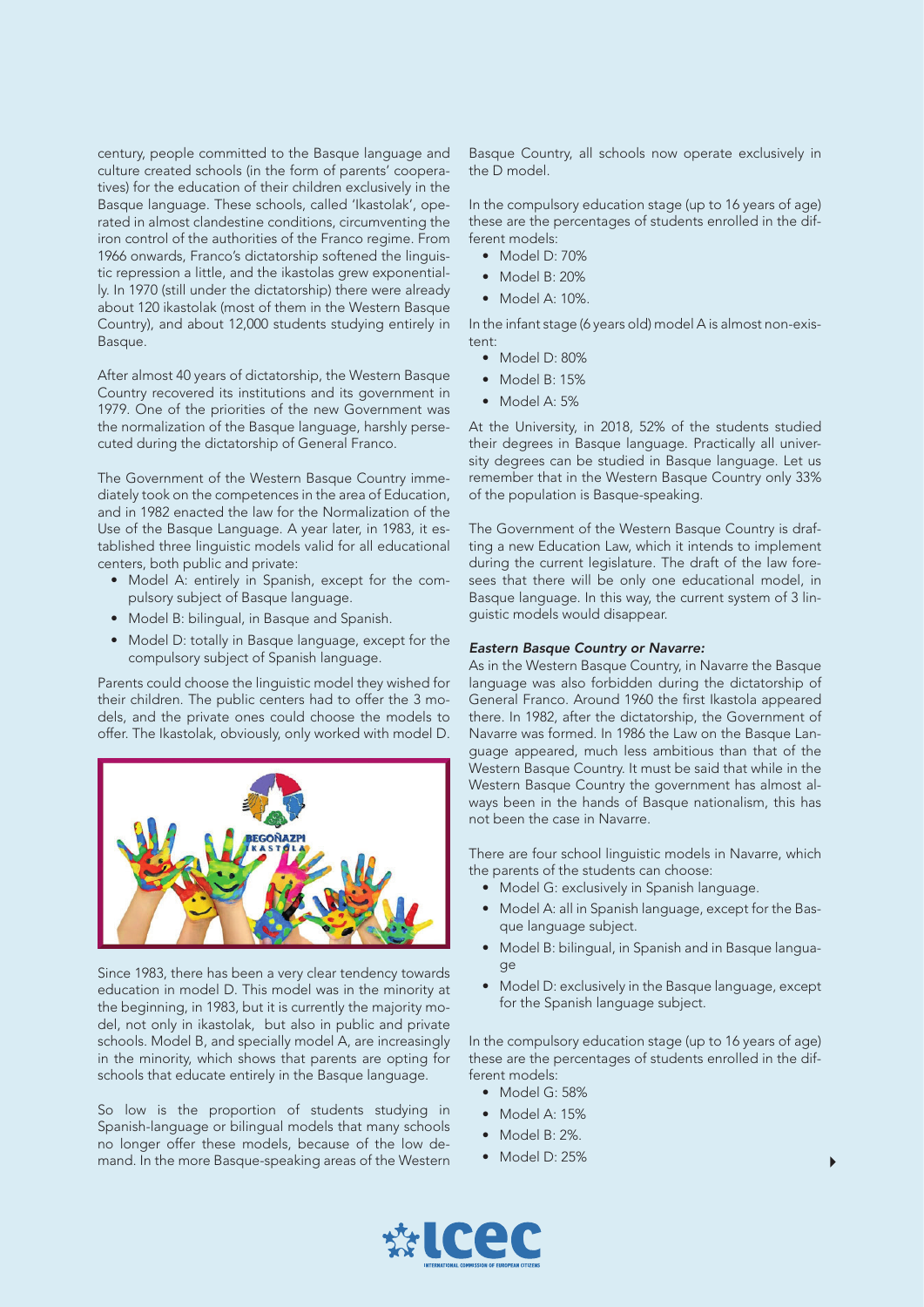century, people committed to the Basque language and culture created schools (in the form of parents' cooperatives) for the education of their children exclusively in the Basque language. These schools, called 'Ikastolak', operated in almost clandestine conditions, circumventing the iron control of the authorities of the Franco regime. From 1966 onwards, Franco's dictatorship softened the linguistic repression a little, and the ikastolas grew exponentially. In 1970 (still under the dictatorship) there were already about 120 ikastolak (most of them in the Western Basque Country), and about 12,000 students studying entirely in Basque.

After almost 40 years of dictatorship, the Western Basque Country recovered its institutions and its government in 1979. One of the priorities of the new Government was the normalization of the Basque language, harshly persecuted during the dictatorship of General Franco.

The Government of the Western Basque Country immediately took on the competences in the area of Education, and in 1982 enacted the law for the Normalization of the Use of the Basque Language. A year later, in 1983, it established three linguistic models valid for all educational centers, both public and private:

- Model A: entirely in Spanish, except for the compulsory subject of Basque language.
- Model B: bilingual, in Basque and Spanish.
- Model D: totally in Basque language, except for the compulsory subject of Spanish language.

Parents could choose the linguistic model they wished for their children. The public centers had to offer the 3 models, and the private ones could choose the models to offer. The Ikastolak, obviously, only worked with model D.



Since 1983, there has been a very clear tendency towards education in model D. This model was in the minority at the beginning, in 1983, but it is currently the majority model, not only in ikastolak, but also in public and private schools. Model B, and specially model A, are increasingly in the minority, which shows that parents are opting for schools that educate entirely in the Basque language.

So low is the proportion of students studying in Spanish-language or bilingual models that many schools no longer offer these models, because of the low demand. In the more Basque-speaking areas of the Western Basque Country, all schools now operate exclusively in the D model.

In the compulsory education stage (up to 16 years of age) these are the percentages of students enrolled in the different models:

- Model D: 70%
- Model B: 20%
- Model A: 10%.

In the infant stage (6 years old) model A is almost non-existent:

- Model D: 80%
- Model B: 15%
- Model A: 5%

At the University, in 2018, 52% of the students studied their degrees in Basque language. Practically all university degrees can be studied in Basque language. Let us remember that in the Western Basque Country only 33% of the population is Basque-speaking.

The Government of the Western Basque Country is drafting a new Education Law, which it intends to implement during the current legislature. The draft of the law foresees that there will be only one educational model, in Basque language. In this way, the current system of 3 linguistic models would disappear.

## *Eastern Basque Country or Navarre:*

As in the Western Basque Country, in Navarre the Basque language was also forbidden during the dictatorship of General Franco. Around 1960 the first Ikastola appeared there. In 1982, after the dictatorship, the Government of Navarre was formed. In 1986 the Law on the Basque Language appeared, much less ambitious than that of the Western Basque Country. It must be said that while in the Western Basque Country the government has almost always been in the hands of Basque nationalism, this has not been the case in Navarre.

There are four school linguistic models in Navarre, which the parents of the students can choose:

- Model G: exclusively in Spanish language.
- Model A: all in Spanish language, except for the Basque language subject.
- Model B: bilingual, in Spanish and in Basque language
- Model D: exclusively in the Basque language, except for the Spanish language subject.

In the compulsory education stage (up to 16 years of age) these are the percentages of students enrolled in the different models:

- Model G: 58%
- Model A: 15%
- Model B: 2%.
- Model D: 25%